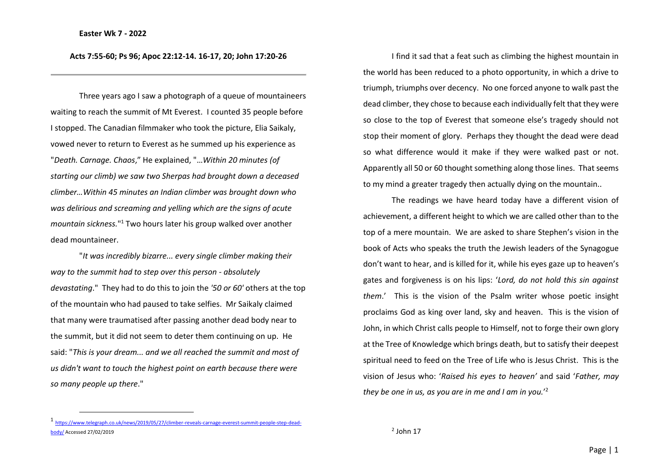## **Acts 7:55-60; Ps 96; Apoc 22:12-14. 16-17, 20; John 17:20-26**

Three years ago I saw a photograph of a queue of mountaineers waiting to reach the summit of Mt Everest. I counted 35 people before I stopped. The Canadian filmmaker who took the picture, Elia Saikaly, vowed never to return to Everest as he summed up his experience as "*Death. Carnage. Chaos*," He explained, "…*Within 20 minutes (of starting our climb) we saw two Sherpas had brought down a deceased climber…Within 45 minutes an Indian climber was brought down who was delirious and screaming and yelling which are the signs of acute mountain sickness.*" <sup>1</sup> Two hours later his group walked over another dead mountaineer.

"*It was incredibly bizarre... every single climber making their way to the summit had to step over this person - absolutely devastating*." They had to do this to join the *'50 or 60'* others at the top of the mountain who had paused to take selfies. Mr Saikaly claimed that many were traumatised after passing another dead body near to the summit, but it did not seem to deter them continuing on up. He said: "*This is your dream... and we all reached the summit and most of us didn't want to touch the highest point on earth because there were so many people up there*."

I find it sad that a feat such as climbing the highest mountain in the world has been reduced to a photo opportunity, in which a drive to triumph, triumphs over decency. No one forced anyone to walk past the dead climber, they chose to because each individually felt that they were so close to the top of Everest that someone else's tragedy should not stop their moment of glory. Perhaps they thought the dead were dead so what difference would it make if they were walked past or not. Apparently all 50 or 60 thought something along those lines. That seems to my mind a greater tragedy then actually dying on the mountain..

The readings we have heard today have a different vision of achievement, a different height to which we are called other than to the top of a mere mountain. We are asked to share Stephen's vision in the book of Acts who speaks the truth the Jewish leaders of the Synagogue don't want to hear, and is killed for it, while his eyes gaze up to heaven's gates and forgiveness is on his lips: '*Lord, do not hold this sin against them*.' This is the vision of the Psalm writer whose poetic insight proclaims God as king over land, sky and heaven. This is the vision of John, in which Christ calls people to Himself, not to forge their own glory at the Tree of Knowledge which brings death, but to satisfy their deepest spiritual need to feed on the Tree of Life who is Jesus Christ. This is the vision of Jesus who: '*Raised his eyes to heaven'* and said '*Father, may they be one in us, as you are in me and I am in you.*' 2

 $<sup>2</sup>$  John 17</sup>

<sup>1</sup> [https://www.telegraph.co.uk/news/2019/05/27/climber-reveals-carnage-everest-summit-people-step-dead](https://www.telegraph.co.uk/news/2019/05/27/climber-reveals-carnage-everest-summit-people-step-dead-body/)[body/](https://www.telegraph.co.uk/news/2019/05/27/climber-reveals-carnage-everest-summit-people-step-dead-body/) Accessed 27/02/2019